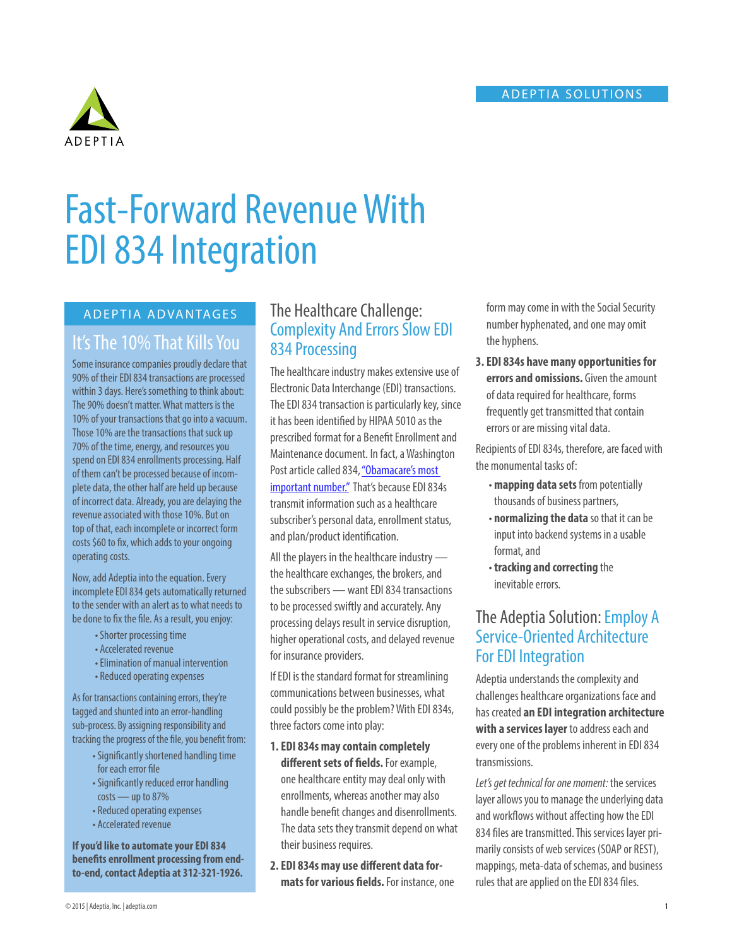#### ADEPTIA SOLUTIONS



# Fast-Forward Revenue With EDI 834 Integration

# It's The 10% That Kills You

Some insurance companies proudly declare that 90% of their EDI 834 transactions are processed within 3 days. Here's something to think about: The 90% doesn't matter. What matters is the 10% of your transactions that go into a vacuum. Those 10% are the transactions that suck up 70% of the time, energy, and resources you spend on EDI 834 enrollments processing. Half of them can't be processed because of incomplete data, the other half are held up because of incorrect data. Already, you are delaying the revenue associated with those 10%. But on top of that, each incomplete or incorrect form costs \$60 to fix, which adds to your ongoing operating costs.

Now, add Adeptia into the equation. Every incomplete EDI 834 gets automatically returned to the sender with an alert as to what needs to be done to fix the file. As a result, you enjoy:

- Shorter processing time
- Accelerated revenue
- Elimination of manual intervention
- Reduced operating expenses

As for transactions containing errors, they're tagged and shunted into an error-handling sub-process. By assigning responsibility and tracking the progress of the file, you benefit from:

- Significantly shortened handling time for each error file
- Significantly reduced error handling  $costs$  — up to 87%
- Reduced operating expenses
- Accelerated revenue

**If you'd like to automate your EDI 834 benefits enrollment processing from endto-end, contact Adeptia at 312-321-1926.**

# ADEPTIA ADVANTAGES The Healthcare Challenge: Complexity And Errors Slow EDI 834 Processing

The healthcare industry makes extensive use of Electronic Data Interchange (EDI) transactions. The EDI 834 transaction is particularly key, since it has been identified by HIPAA 5010 as the prescribed format for a Benefit Enrollment and Maintenance document. In fact, a Washington Post article called 834, "Obamacare's most [important number."](http://www.washingtonpost.com/news/wonkblog/wp/2013/10/23/the-health-care-laws-most-important-number-834/) That's because EDI 834s transmit information such as a healthcare subscriber's personal data, enrollment status, and plan/product identification.

All the players in the healthcare industry the healthcare exchanges, the brokers, and the subscribers — want EDI 834 transactions to be processed swiftly and accurately. Any processing delays result in service disruption, higher operational costs, and delayed revenue for insurance providers.

If EDI is the standard format for streamlining communications between businesses, what could possibly be the problem? With EDI 834s, three factors come into play:

**1. EDI 834s may contain completely different sets of fields.** For example, one healthcare entity may deal only with enrollments, whereas another may also handle benefit changes and disenrollments. The data sets they transmit depend on what their business requires.

**2. EDI 834s may use different data formats for various fields.** For instance, one form may come in with the Social Security number hyphenated, and one may omit the hyphens.

**3. EDI 834s have many opportunities for errors and omissions.** Given the amount of data required for healthcare, forms frequently get transmitted that contain errors or are missing vital data.

Recipients of EDI 834s, therefore, are faced with the monumental tasks of:

- **mapping data sets** from potentially thousands of business partners,
- **normalizing the data** so that it can be input into backend systems in a usable format, and
- **tracking and correcting** the inevitable errors.

# The Adeptia Solution: Employ A Service-Oriented Architecture For EDI Integration

Adeptia understands the complexity and challenges healthcare organizations face and has created **an EDI integration architecture with a services layer** to address each and every one of the problems inherent in EDI 834 transmissions.

*Let's get technical for one moment:* the services layer allows you to manage the underlying data and workflows without affecting how the EDI 834 files are transmitted. This services layer primarily consists of web services (SOAP or REST), mappings, meta-data of schemas, and business rules that are applied on the EDI 834 files.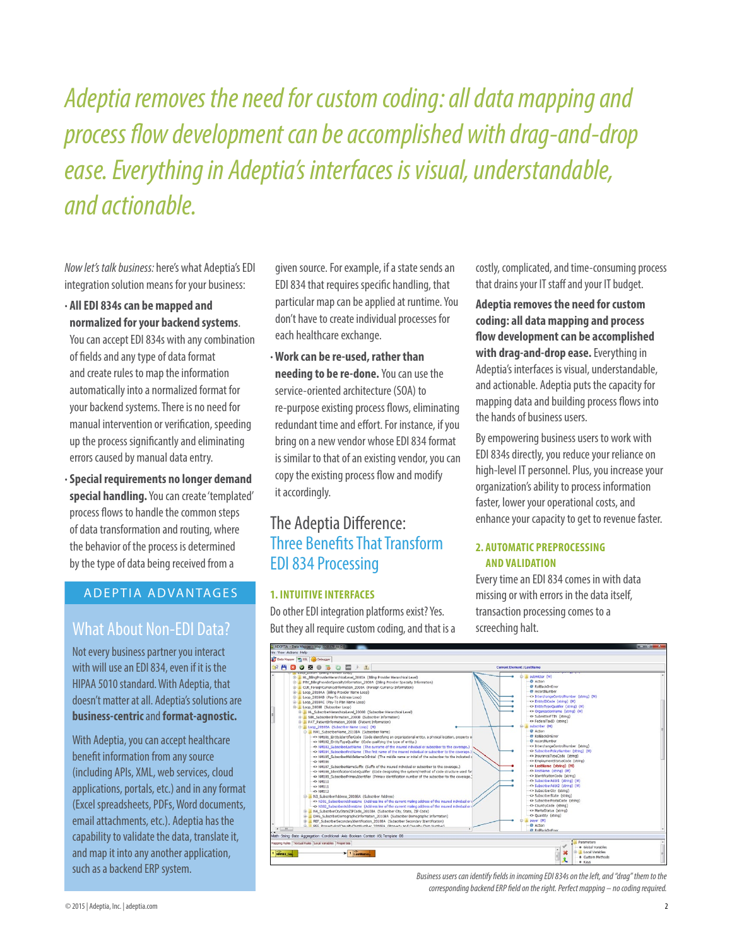*Adeptia removes the need for custom coding: all data mapping and process flow development can be accomplished with drag-and-drop ease. Everything in Adeptia's interfaces is visual, understandable, and actionable.* 

*Now let's talk business:* here's what Adeptia's EDI integration solution means for your business:

**· All EDI 834s can be mapped and normalized for your backend systems**.

You can accept EDI 834s with any combination of fields and any type of data format and create rules to map the information automatically into a normalized format for your backend systems. There is no need for manual intervention or verification, speeding up the process significantly and eliminating errors caused by manual data entry.

**· Special requirements no longer demand special handling.** You can create 'templated' process flows to handle the common steps of data transformation and routing, where the behavior of the process is determined by the type of data being received from a

### ADEPTIA ADVANTAGES

# What About Non-EDI Data? But they all require custom coding, and that is a screeching halt.

Not every business partner you interact with will use an EDI 834, even if it is the HIPAA 5010 standard. With Adeptia, that doesn't matter at all. Adeptia's solutions are **business-centric** and **format-agnostic.**

With Adeptia, you can accept healthcare benefit information from any source (including APIs, XML, web services, cloud applications, portals, etc.) and in any format (Excel spreadsheets, PDFs, Word documents, email attachments, etc.). Adeptia has the capability to validate the data, translate it, and map it into any another application, such as a backend ERP system.

given source. For example, if a state sends an EDI 834 that requires specific handling, that particular map can be applied at runtime. You don't have to create individual processes for each healthcare exchange.

**· Work can be re-used, rather than needing to be re-done.** You can use the service-oriented architecture (SOA) to re-purpose existing process flows, eliminating redundant time and effort. For instance, if you bring on a new vendor whose EDI 834 format is similar to that of an existing vendor, you can copy the existing process flow and modify it accordingly.

# The Adeptia Difference: Three Benefits That Transform EDI 834 Processing

#### **1. INTUITIVE INTERFACES**

Do other EDI integration platforms exist? Yes. But they all require custom coding, and that is a costly, complicated, and time-consuming process that drains your IT staff and your IT budget.

**Adeptia removes the need for custom coding: all data mapping and process flow development can be accomplished with drag-and-drop ease.** Everything in Adeptia's interfaces is visual, understandable, and actionable. Adeptia puts the capacity for mapping data and building process flows into the hands of business users.

By empowering business users to work with EDI 834s directly, you reduce your reliance on high-level IT personnel. Plus, you increase your organization's ability to process information faster, lower your operational costs, and enhance your capacity to get to revenue faster.

#### **2. AUTOMATIC PREPROCESSING AND VALIDATION**

Every time an EDI 834 comes in with data missing or with errors in the data itself, transaction processing comes to a



*Business users can identify fields in incoming EDI 834s on the left, and "drag" them to the corresponding backend ERP field on the right. Perfect mapping – no coding required.*